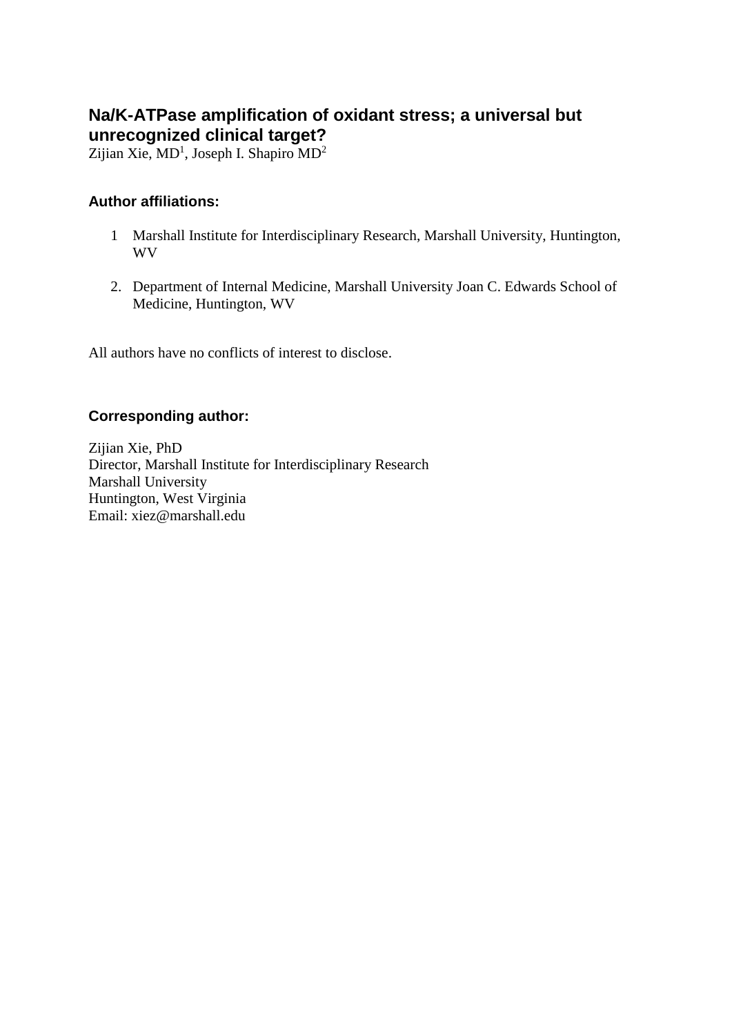# **Na/K-ATPase amplification of oxidant stress; a universal but unrecognized clinical target?**

[Zijian Xie,](javascript:popUp()  $MD<sup>1</sup>$ , Joseph I. Shapiro  $MD<sup>2</sup>$ 

### **Author affiliations:**

- 1 Marshall Institute for Interdisciplinary Research, Marshall University, Huntington, WV
- 2. Department of Internal Medicine, Marshall University Joan C. Edwards School of Medicine, Huntington, WV

All authors have no conflicts of interest to disclose.

#### **Corresponding author:**

[Zijian Xie,](javascript:popUp() PhD Director, Marshall Institute for Interdisciplinary Research Marshall University Huntington, West Virginia Email: xiez@marshall.edu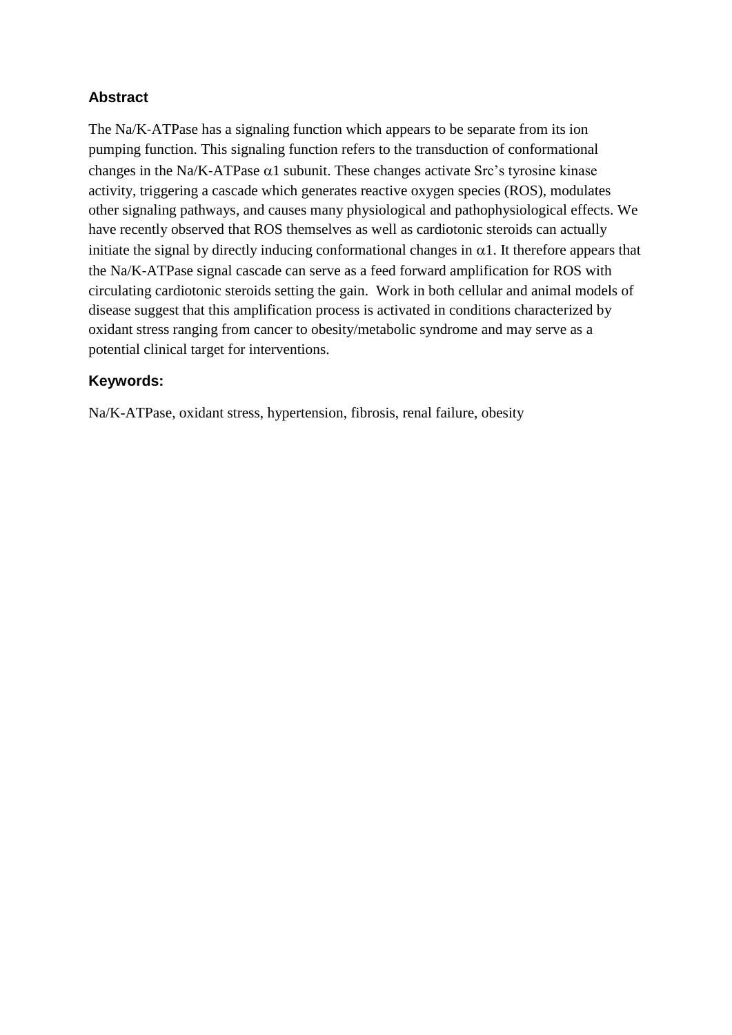# **Abstract**

The Na/K-ATPase has a signaling function which appears to be separate from its ion pumping function. This signaling function refers to the transduction of conformational changes in the Na/K-ATPase  $\alpha$ 1 subunit. These changes activate Src's tyrosine kinase activity, triggering a cascade which generates reactive oxygen species (ROS), modulates other signaling pathways, and causes many physiological and pathophysiological effects. We have recently observed that ROS themselves as well as cardiotonic steroids can actually initiate the signal by directly inducing conformational changes in  $\alpha$ 1. It therefore appears that the Na/K‐ATPase signal cascade can serve as a feed forward amplification for ROS with circulating cardiotonic steroids setting the gain. Work in both cellular and animal models of disease suggest that this amplification process is activated in conditions characterized by oxidant stress ranging from cancer to obesity/metabolic syndrome and may serve as a potential clinical target for interventions.

# **Keywords:**

Na/K-ATPase, oxidant stress, hypertension, fibrosis, renal failure, obesity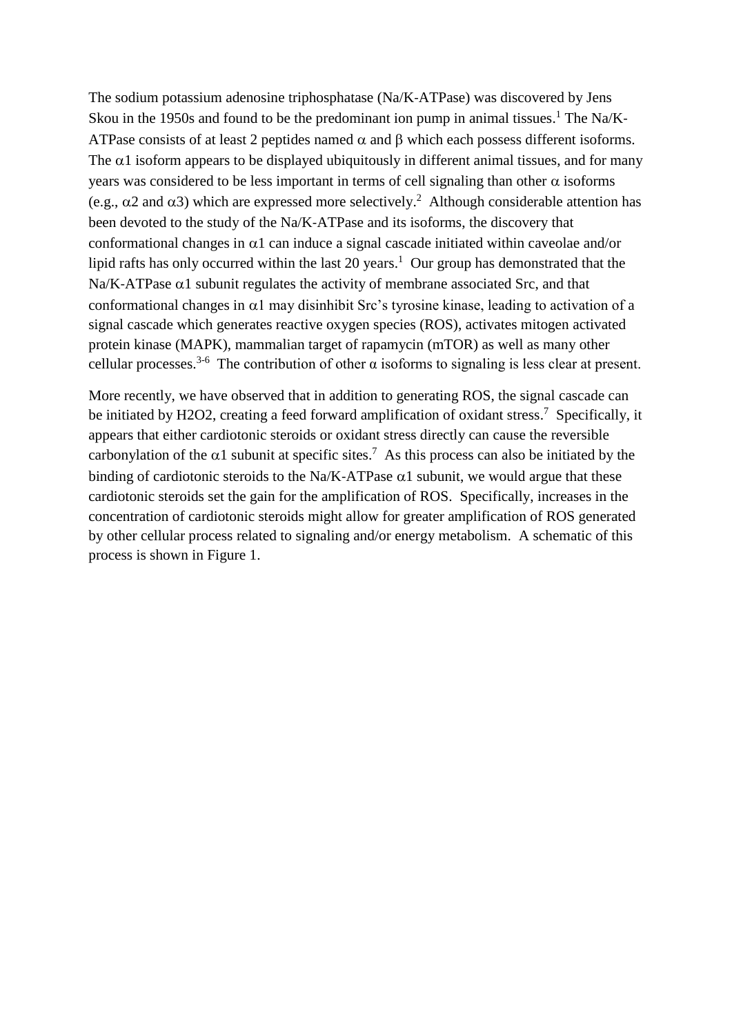The sodium potassium adenosine triphosphatase (Na/K‐ATPase) was discovered by Jens Skou in the 1950s and found to be the predominant ion pump in animal tissues.<sup>1</sup> The Na/K-ATPase consists of at least 2 peptides named  $\alpha$  and  $\beta$  which each possess different isoforms. The  $\alpha$ 1 isoform appears to be displayed ubiquitously in different animal tissues, and for many years was considered to be less important in terms of cell signaling than other  $\alpha$  isoforms (e.g.,  $\alpha$ 2 and  $\alpha$ 3) which are expressed more selectively.<sup>2</sup> Although considerable attention has been devoted to the study of the Na/K-ATPase and its isoforms, the discovery that conformational changes in  $\alpha$ 1 can induce a signal cascade initiated within caveolae and/or lipid rafts has only occurred within the last 20 years.<sup>1</sup> Our group has demonstrated that the Na/K-ATPase  $\alpha$ 1 subunit regulates the activity of membrane associated Src, and that conformational changes in  $\alpha$ 1 may disinhibit Src's tyrosine kinase, leading to activation of a signal cascade which generates reactive oxygen species (ROS), activates mitogen activated protein kinase (MAPK), mammalian target of rapamycin (mTOR) as well as many other cellular processes.<sup>3-6</sup> The contribution of other  $\alpha$  isoforms to signaling is less clear at present.

More recently, we have observed that in addition to generating ROS, the signal cascade can be initiated by H2O2, creating a feed forward amplification of oxidant stress.<sup>7</sup> Specifically, it appears that either cardiotonic steroids or oxidant stress directly can cause the reversible carbonylation of the  $\alpha$ 1 subunit at specific sites.<sup>7</sup> As this process can also be initiated by the binding of cardiotonic steroids to the Na/K-ATPase  $\alpha$ 1 subunit, we would argue that these cardiotonic steroids set the gain for the amplification of ROS. Specifically, increases in the concentration of cardiotonic steroids might allow for greater amplification of ROS generated by other cellular process related to signaling and/or energy metabolism. A schematic of this process is shown in Figure 1.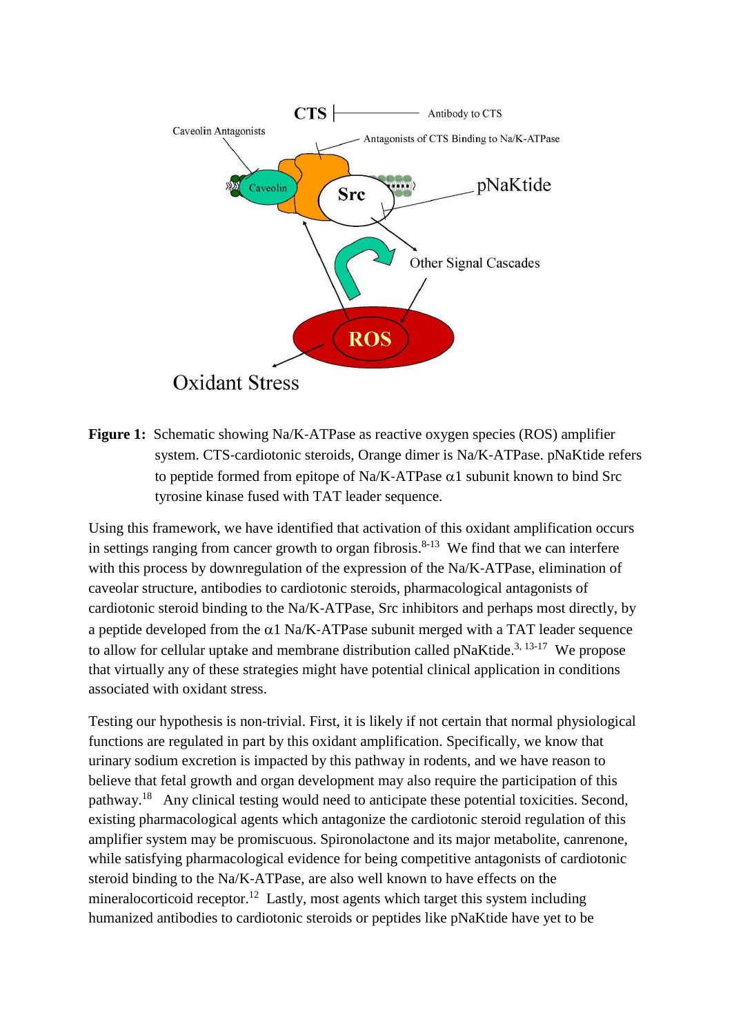

**Figure 1:** Schematic showing Na/K‐ATPase as reactive oxygen species (ROS) amplifier system. CTS-cardiotonic steroids, Orange dimer is Na/K-ATPase. pNaKtide refers to peptide formed from epitope of Na/K-ATPase  $\alpha$ 1 subunit known to bind Src tyrosine kinase fused with TAT leader sequence.

Using this framework, we have identified that activation of this oxidant amplification occurs in settings ranging from cancer growth to organ fibrosis.<sup>8-13</sup> We find that we can interfere with this process by downregulation of the expression of the Na/K-ATPase, elimination of caveolar structure, antibodies to cardiotonic steroids, pharmacological antagonists of cardiotonic steroid binding to the Na/K‐ATPase, Src inhibitors and perhaps most directly, by a peptide developed from the  $\alpha$ 1 Na/K-ATPase subunit merged with a TAT leader sequence to allow for cellular uptake and membrane distribution called  $p$ NaKtide.<sup>3, 13-17</sup> We propose that virtually any of these strategies might have potential clinical application in conditions associated with oxidant stress.

Testing our hypothesis is non-trivial. First, it is likely if not certain that normal physiological functions are regulated in part by this oxidant amplification. Specifically, we know that urinary sodium excretion is impacted by this pathway in rodents, and we have reason to believe that fetal growth and organ development may also require the participation of this pathway.<sup>18</sup> Any clinical testing would need to anticipate these potential toxicities. Second, existing pharmacological agents which antagonize the cardiotonic steroid regulation of this amplifier system may be promiscuous. Spironolactone and its major metabolite, canrenone, while satisfying pharmacological evidence for being competitive antagonists of cardiotonic steroid binding to the Na/K‐ATPase, are also well known to have effects on the mineralocorticoid receptor.<sup>12</sup> Lastly, most agents which target this system including humanized antibodies to cardiotonic steroids or peptides like pNaKtide have yet to be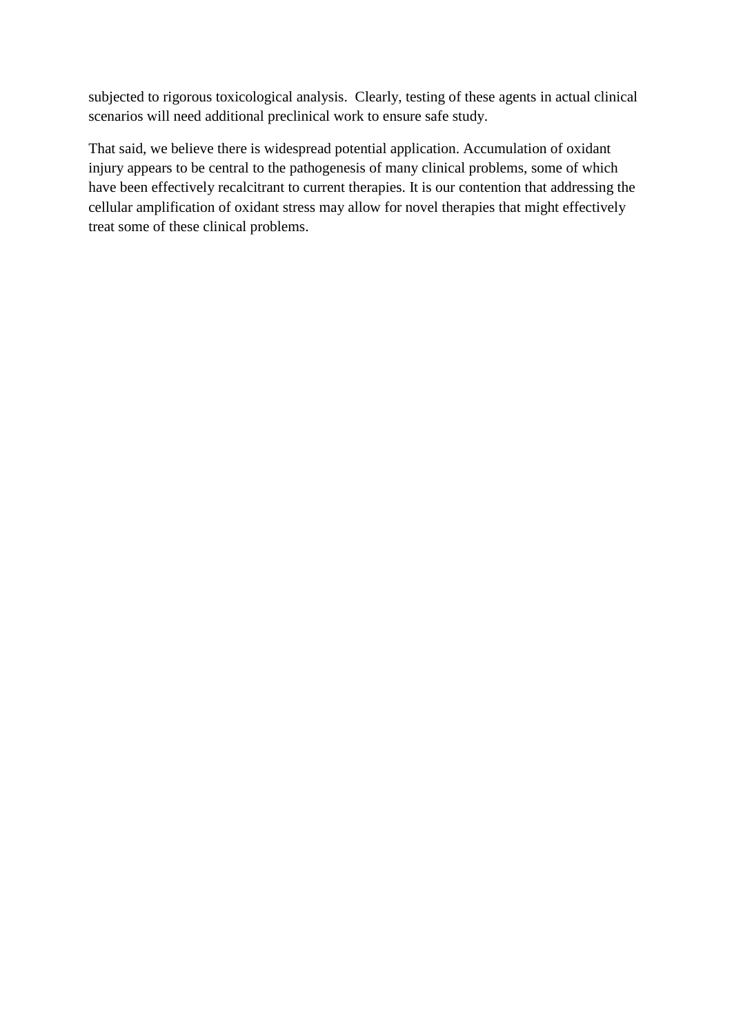subjected to rigorous toxicological analysis. Clearly, testing of these agents in actual clinical scenarios will need additional preclinical work to ensure safe study.

That said, we believe there is widespread potential application. Accumulation of oxidant injury appears to be central to the pathogenesis of many clinical problems, some of which have been effectively recalcitrant to current therapies. It is our contention that addressing the cellular amplification of oxidant stress may allow for novel therapies that might effectively treat some of these clinical problems.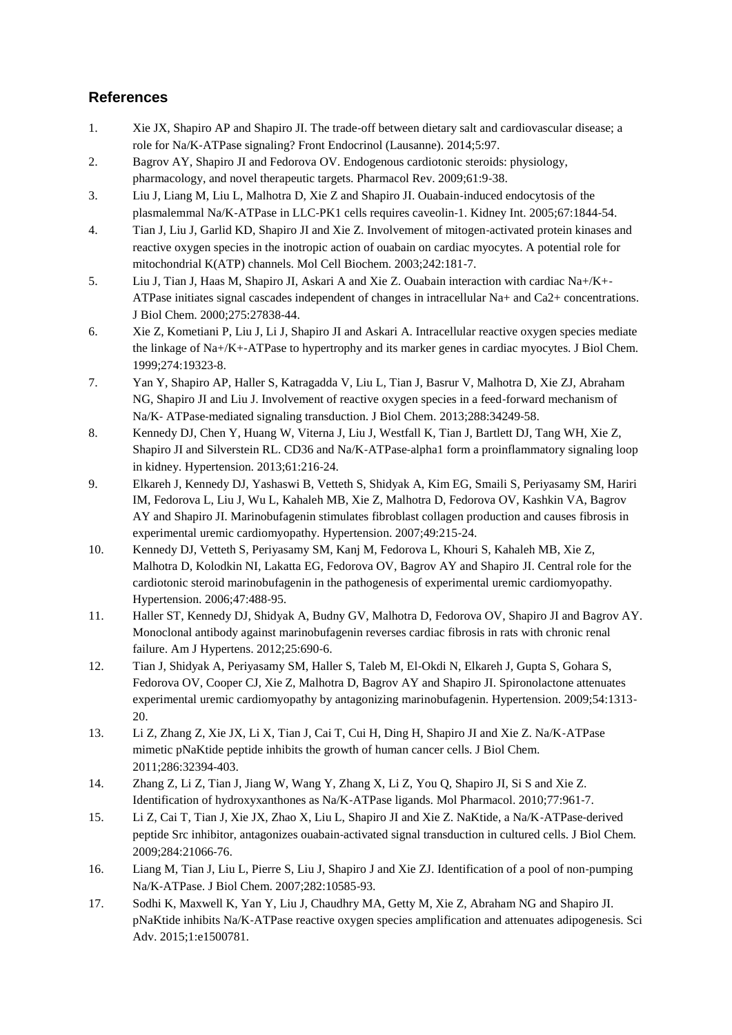# **References**

- 1. Xie JX, Shapiro AP and Shapiro JI. The trade‐off between dietary salt and cardiovascular disease; a role for Na/K‐ATPase signaling? Front Endocrinol (Lausanne). 2014;5:97.
- 2. Bagrov AY, Shapiro JI and Fedorova OV. Endogenous cardiotonic steroids: physiology, pharmacology, and novel therapeutic targets. Pharmacol Rev. 2009;61:9‐38.
- 3. Liu J, Liang M, Liu L, Malhotra D, Xie Z and Shapiro JI. Ouabain‐induced endocytosis of the plasmalemmal Na/K‐ATPase in LLC‐PK1 cells requires caveolin‐1. Kidney Int. 2005;67:1844‐54.
- 4. Tian J, Liu J, Garlid KD, Shapiro JI and Xie Z. Involvement of mitogen‐activated protein kinases and reactive oxygen species in the inotropic action of ouabain on cardiac myocytes. A potential role for mitochondrial K(ATP) channels. Mol Cell Biochem. 2003;242:181‐7.
- 5. Liu J, Tian J, Haas M, Shapiro JI, Askari A and Xie Z. Ouabain interaction with cardiac Na+/K+‐ ATPase initiates signal cascades independent of changes in intracellular Na+ and Ca2+ concentrations. J Biol Chem. 2000;275:27838‐44.
- 6. Xie Z, Kometiani P, Liu J, Li J, Shapiro JI and Askari A. Intracellular reactive oxygen species mediate the linkage of Na+/K+‐ATPase to hypertrophy and its marker genes in cardiac myocytes. J Biol Chem. 1999;274:19323‐8.
- 7. Yan Y, Shapiro AP, Haller S, Katragadda V, Liu L, Tian J, Basrur V, Malhotra D, Xie ZJ, Abraham NG, Shapiro JI and Liu J. Involvement of reactive oxygen species in a feed‐forward mechanism of Na/K- ATPase-mediated signaling transduction. J Biol Chem. 2013;288:34249-58.
- 8. Kennedy DJ, Chen Y, Huang W, Viterna J, Liu J, Westfall K, Tian J, Bartlett DJ, Tang WH, Xie Z, Shapiro JI and Silverstein RL. CD36 and Na/K-ATPase-alpha1 form a proinflammatory signaling loop in kidney. Hypertension. 2013;61:216‐24.
- 9. Elkareh J, Kennedy DJ, Yashaswi B, Vetteth S, Shidyak A, Kim EG, Smaili S, Periyasamy SM, Hariri IM, Fedorova L, Liu J, Wu L, Kahaleh MB, Xie Z, Malhotra D, Fedorova OV, Kashkin VA, Bagrov AY and Shapiro JI. Marinobufagenin stimulates fibroblast collagen production and causes fibrosis in experimental uremic cardiomyopathy. Hypertension. 2007;49:215‐24.
- 10. Kennedy DJ, Vetteth S, Periyasamy SM, Kanj M, Fedorova L, Khouri S, Kahaleh MB, Xie Z, Malhotra D, Kolodkin NI, Lakatta EG, Fedorova OV, Bagrov AY and Shapiro JI. Central role for the cardiotonic steroid marinobufagenin in the pathogenesis of experimental uremic cardiomyopathy. Hypertension. 2006;47:488‐95.
- 11. Haller ST, Kennedy DJ, Shidyak A, Budny GV, Malhotra D, Fedorova OV, Shapiro JI and Bagrov AY. Monoclonal antibody against marinobufagenin reverses cardiac fibrosis in rats with chronic renal failure. Am J Hypertens. 2012;25:690‐6.
- 12. Tian J, Shidyak A, Periyasamy SM, Haller S, Taleb M, El-Okdi N, Elkareh J, Gupta S, Gohara S, Fedorova OV, Cooper CJ, Xie Z, Malhotra D, Bagrov AY and Shapiro JI. Spironolactone attenuates experimental uremic cardiomyopathy by antagonizing marinobufagenin. Hypertension. 2009;54:1313– 20.
- 13. Li Z, Zhang Z, Xie JX, Li X, Tian J, Cai T, Cui H, Ding H, Shapiro JI and Xie Z. Na/K‐ATPase mimetic pNaKtide peptide inhibits the growth of human cancer cells. J Biol Chem. 2011;286:32394‐403.
- 14. Zhang Z, Li Z, Tian J, Jiang W, Wang Y, Zhang X, Li Z, You Q, Shapiro JI, Si S and Xie Z. Identification of hydroxyxanthones as Na/K‐ATPase ligands. Mol Pharmacol. 2010;77:961‐7.
- 15. Li Z, Cai T, Tian J, Xie JX, Zhao X, Liu L, Shapiro JI and Xie Z. NaKtide, a Na/K‐ATPase‐derived peptide Src inhibitor, antagonizes ouabain‐activated signal transduction in cultured cells. J Biol Chem. 2009;284:21066‐76.
- 16. Liang M, Tian J, Liu L, Pierre S, Liu J, Shapiro J and Xie ZJ. Identification of a pool of non-pumping Na/K‐ATPase. J Biol Chem. 2007;282:10585‐93.
- 17. Sodhi K, Maxwell K, Yan Y, Liu J, Chaudhry MA, Getty M, Xie Z, Abraham NG and Shapiro JI. pNaKtide inhibits Na/K‐ATPase reactive oxygen species amplification and attenuates adipogenesis. Sci Adv. 2015;1:e1500781.